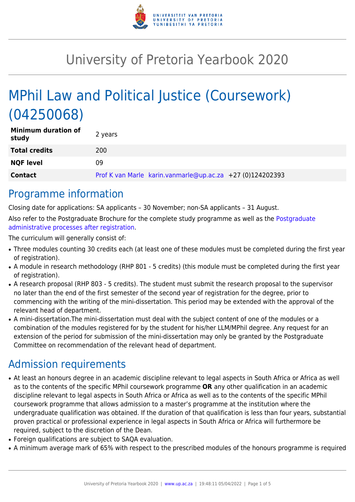

# University of Pretoria Yearbook 2020

# MPhil Law and Political Justice (Coursework) (04250068)

| <b>Minimum duration of</b><br>study | 2 years                                                   |
|-------------------------------------|-----------------------------------------------------------|
| <b>Total credits</b>                | 200                                                       |
| <b>NQF level</b>                    | 09                                                        |
| <b>Contact</b>                      | Prof K van Marle karin.vanmarle@up.ac.za +27 (0)124202393 |

### Programme information

Closing date for applications: SA applicants – 30 November; non-SA applicants – 31 August. Also refer to the Postgraduate Brochure for the complete study programme as well as the [Postgraduate](http://www.up.ac.za/media/shared/10/ZP_Files/post-graduate-administrative-processes-brochures-for-the-faculty-web.zp124870.pdf) [administrative processes after registration.](http://www.up.ac.za/media/shared/10/ZP_Files/post-graduate-administrative-processes-brochures-for-the-faculty-web.zp124870.pdf)

The curriculum will generally consist of:

- Three modules counting 30 credits each (at least one of these modules must be completed during the first year of registration).
- A module in research methodology (RHP 801 5 credits) (this module must be completed during the first year of registration).
- A research proposal (RHP 803 5 credits). The student must submit the research proposal to the supervisor no later than the end of the first semester of the second year of registration for the degree, prior to commencing with the writing of the mini-dissertation. This period may be extended with the approval of the relevant head of department.
- A mini-dissertation. The mini-dissertation must deal with the subject content of one of the modules or a combination of the modules registered for by the student for his/her LLM/MPhil degree. Any request for an extension of the period for submission of the mini-dissertation may only be granted by the Postgraduate Committee on recommendation of the relevant head of department.

## Admission requirements

- At least an honours degree in an academic discipline relevant to legal aspects in South Africa or Africa as well as to the contents of the specific MPhil coursework programme **OR** any other qualification in an academic discipline relevant to legal aspects in South Africa or Africa as well as to the contents of the specific MPhil coursework programme that allows admission to a master's programme at the institution where the undergraduate qualification was obtained. If the duration of that qualification is less than four years, substantial proven practical or professional experience in legal aspects in South Africa or Africa will furthermore be required, subject to the discretion of the Dean.
- Foreign qualifications are subject to SAQA evaluation.
- A minimum average mark of 65% with respect to the prescribed modules of the honours programme is required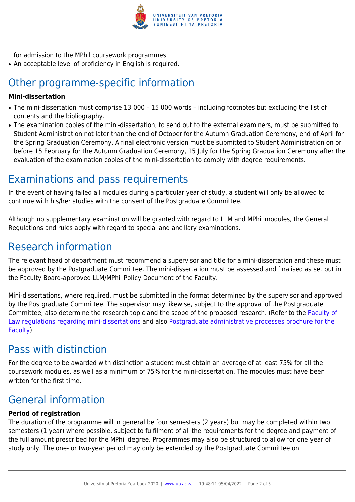

for admission to the MPhil coursework programmes.

• An acceptable level of proficiency in English is required.

## Other programme-specific information

#### **Mini-dissertation**

- The mini-dissertation must comprise 13 000 15 000 words including footnotes but excluding the list of contents and the bibliography.
- The examination copies of the mini-dissertation, to send out to the external examiners, must be submitted to Student Administration not later than the end of October for the Autumn Graduation Ceremony, end of April for the Spring Graduation Ceremony. A final electronic version must be submitted to Student Administration on or before 15 February for the Autumn Graduation Ceremony, 15 July for the Spring Graduation Ceremony after the evaluation of the examination copies of the mini-dissertation to comply with degree requirements.

## Examinations and pass requirements

In the event of having failed all modules during a particular year of study, a student will only be allowed to continue with his/her studies with the consent of the Postgraduate Committee.

Although no supplementary examination will be granted with regard to LLM and MPhil modules, the General Regulations and rules apply with regard to special and ancillary examinations.

### Research information

The relevant head of department must recommend a supervisor and title for a mini-dissertation and these must be approved by the Postgraduate Committee. The mini-dissertation must be assessed and finalised as set out in the Faculty Board-approved LLM/MPhil Policy Document of the Faculty.

Mini-dissertations, where required, must be submitted in the format determined by the supervisor and approved by the Postgraduate Committee. The supervisor may likewise, subject to the approval of the Postgraduate Committee, also determine the research topic and the scope of the proposed research. (Refer to the [Faculty of](http://www.up.ac.za/media/shared/10/ZP_Files/faculty-regulations-for-the-mini-dissertation.zp124872.pdf) [Law regulations regarding mini-dissertations](http://www.up.ac.za/media/shared/10/ZP_Files/faculty-regulations-for-the-mini-dissertation.zp124872.pdf) and also [Postgraduate administrative processes brochure for the](http://www.up.ac.za/media/shared/10/ZP_Files/post-graduate-administrative-processes-brochures-for-the-faculty-web.zp124870.pdf) [Faculty](http://www.up.ac.za/media/shared/10/ZP_Files/post-graduate-administrative-processes-brochures-for-the-faculty-web.zp124870.pdf))

### Pass with distinction

For the degree to be awarded with distinction a student must obtain an average of at least 75% for all the coursework modules, as well as a minimum of 75% for the mini-dissertation. The modules must have been written for the first time.

## General information

#### **Period of registration**

The duration of the programme will in general be four semesters (2 years) but may be completed within two semesters (1 year) where possible, subject to fulfilment of all the requirements for the degree and payment of the full amount prescribed for the MPhil degree. Programmes may also be structured to allow for one year of study only. The one- or two-year period may only be extended by the Postgraduate Committee on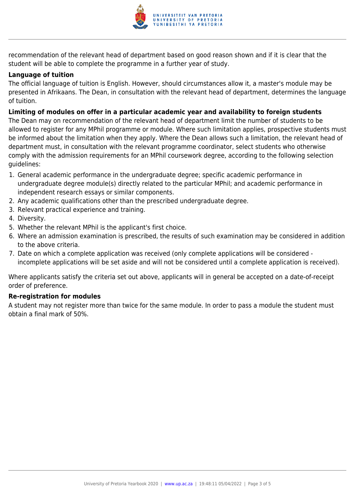

recommendation of the relevant head of department based on good reason shown and if it is clear that the student will be able to complete the programme in a further year of study.

#### **Language of tuition**

The official language of tuition is English. However, should circumstances allow it, a master's module may be presented in Afrikaans. The Dean, in consultation with the relevant head of department, determines the language of tuition.

#### **Limiting of modules on offer in a particular academic year and availability to foreign students**

The Dean may on recommendation of the relevant head of department limit the number of students to be allowed to register for any MPhil programme or module. Where such limitation applies, prospective students must be informed about the limitation when they apply. Where the Dean allows such a limitation, the relevant head of department must, in consultation with the relevant programme coordinator, select students who otherwise comply with the admission requirements for an MPhil coursework degree, according to the following selection guidelines:

- 1. General academic performance in the undergraduate degree; specific academic performance in undergraduate degree module(s) directly related to the particular MPhil; and academic performance in independent research essays or similar components.
- 2. Any academic qualifications other than the prescribed undergraduate degree.
- 3. Relevant practical experience and training.
- 4. Diversity.
- 5. Whether the relevant MPhil is the applicant's first choice.
- 6. Where an admission examination is prescribed, the results of such examination may be considered in addition to the above criteria.
- 7. Date on which a complete application was received (only complete applications will be considered incomplete applications will be set aside and will not be considered until a complete application is received).

Where applicants satisfy the criteria set out above, applicants will in general be accepted on a date-of-receipt order of preference.

#### **Re-registration for modules**

A student may not register more than twice for the same module. In order to pass a module the student must obtain a final mark of 50%.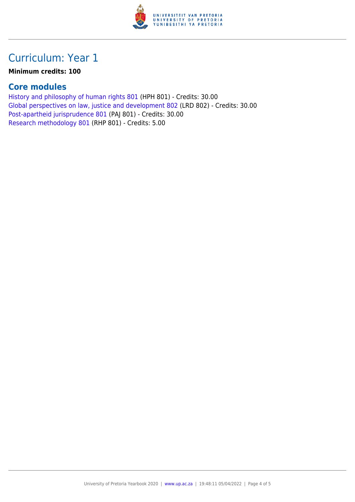

## Curriculum: Year 1

#### **Minimum credits: 100**

### **Core modules**

[History and philosophy of human rights 801](https://www.up.ac.za/yearbooks/2020/modules/view/HPH 801) (HPH 801) - Credits: 30.00 [Global perspectives on law, justice and development 802](https://www.up.ac.za/yearbooks/2020/modules/view/LRD 802) (LRD 802) - Credits: 30.00 [Post-apartheid jurisprudence 801](https://www.up.ac.za/yearbooks/2020/modules/view/PAJ 801) (PAJ 801) - Credits: 30.00 [Research methodology 801](https://www.up.ac.za/yearbooks/2020/modules/view/RHP 801) (RHP 801) - Credits: 5.00